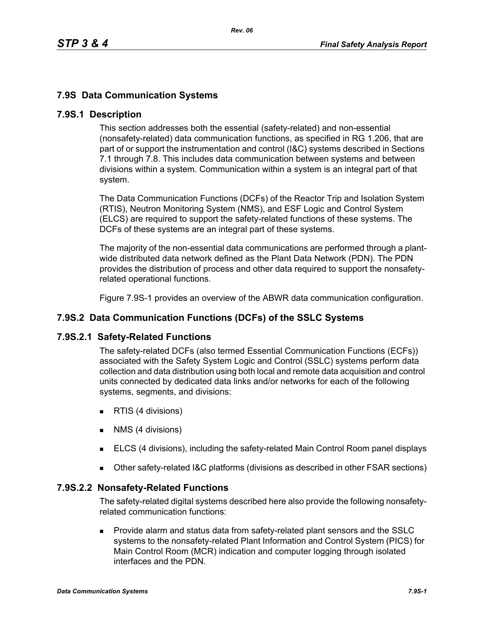# **7.9S Data Communication Systems**

### **7.9S.1 Description**

This section addresses both the essential (safety-related) and non-essential (nonsafety-related) data communication functions, as specified in RG 1.206, that are part of or support the instrumentation and control (I&C) systems described in Sections 7.1 through 7.8. This includes data communication between systems and between divisions within a system. Communication within a system is an integral part of that system.

The Data Communication Functions (DCFs) of the Reactor Trip and Isolation System (RTIS), Neutron Monitoring System (NMS), and ESF Logic and Control System (ELCS) are required to support the safety-related functions of these systems. The DCFs of these systems are an integral part of these systems.

The majority of the non-essential data communications are performed through a plantwide distributed data network defined as the Plant Data Network (PDN). The PDN provides the distribution of process and other data required to support the nonsafetyrelated operational functions.

Figure 7.9S-1 provides an overview of the ABWR data communication configuration.

### **7.9S.2 Data Communication Functions (DCFs) of the SSLC Systems**

#### **7.9S.2.1 Safety-Related Functions**

The safety-related DCFs (also termed Essential Communication Functions (ECFs)) associated with the Safety System Logic and Control (SSLC) systems perform data collection and data distribution using both local and remote data acquisition and control units connected by dedicated data links and/or networks for each of the following systems, segments, and divisions:

- **RTIS (4 divisions)**
- **NMS** (4 divisions)
- ELCS (4 divisions), including the safety-related Main Control Room panel displays
- Other safety-related I&C platforms (divisions as described in other FSAR sections)

#### **7.9S.2.2 Nonsafety-Related Functions**

The safety-related digital systems described here also provide the following nonsafetyrelated communication functions:

 Provide alarm and status data from safety-related plant sensors and the SSLC systems to the nonsafety-related Plant Information and Control System (PICS) for Main Control Room (MCR) indication and computer logging through isolated interfaces and the PDN.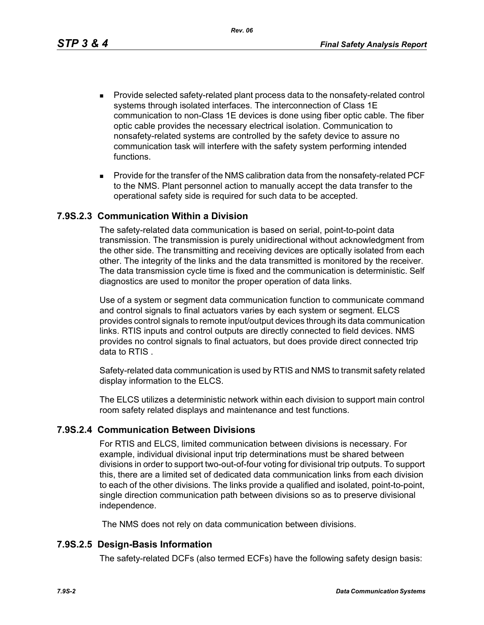*Rev. 06*

- Provide selected safety-related plant process data to the nonsafety-related control systems through isolated interfaces. The interconnection of Class 1E communication to non-Class 1E devices is done using fiber optic cable. The fiber optic cable provides the necessary electrical isolation. Communication to nonsafety-related systems are controlled by the safety device to assure no communication task will interfere with the safety system performing intended functions.
- **Provide for the transfer of the NMS calibration data from the nonsafety-related PCF** to the NMS. Plant personnel action to manually accept the data transfer to the operational safety side is required for such data to be accepted.

### **7.9S.2.3 Communication Within a Division**

The safety-related data communication is based on serial, point-to-point data transmission. The transmission is purely unidirectional without acknowledgment from the other side. The transmitting and receiving devices are optically isolated from each other. The integrity of the links and the data transmitted is monitored by the receiver. The data transmission cycle time is fixed and the communication is deterministic. Self diagnostics are used to monitor the proper operation of data links.

Use of a system or segment data communication function to communicate command and control signals to final actuators varies by each system or segment. ELCS provides control signals to remote input/output devices through its data communication links. RTIS inputs and control outputs are directly connected to field devices. NMS provides no control signals to final actuators, but does provide direct connected trip data to RTIS .

Safety-related data communication is used by RTIS and NMS to transmit safety related display information to the ELCS.

The ELCS utilizes a deterministic network within each division to support main control room safety related displays and maintenance and test functions.

### **7.9S.2.4 Communication Between Divisions**

For RTIS and ELCS, limited communication between divisions is necessary. For example, individual divisional input trip determinations must be shared between divisions in order to support two-out-of-four voting for divisional trip outputs. To support this, there are a limited set of dedicated data communication links from each division to each of the other divisions. The links provide a qualified and isolated, point-to-point, single direction communication path between divisions so as to preserve divisional independence.

The NMS does not rely on data communication between divisions.

#### **7.9S.2.5 Design-Basis Information**

The safety-related DCFs (also termed ECFs) have the following safety design basis: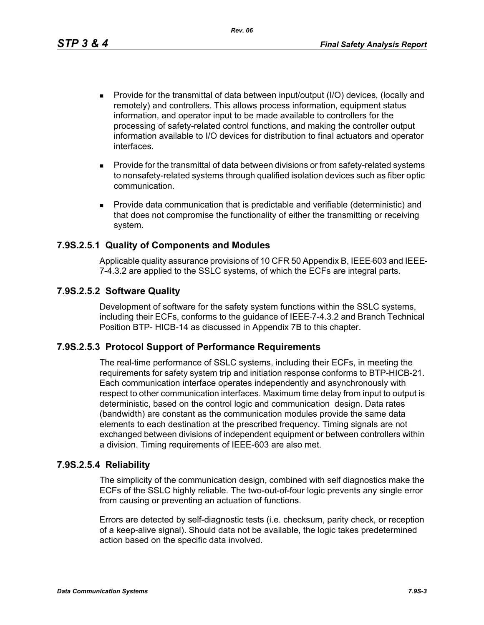*Rev. 06*

- Provide for the transmittal of data between input/output (I/O) devices, (locally and remotely) and controllers. This allows process information, equipment status information, and operator input to be made available to controllers for the processing of safety-related control functions, and making the controller output information available to I/O devices for distribution to final actuators and operator interfaces.
- **Provide for the transmittal of data between divisions or from safety-related systems** to nonsafety-related systems through qualified isolation devices such as fiber optic communication.
- Provide data communication that is predictable and verifiable (deterministic) and that does not compromise the functionality of either the transmitting or receiving system.

# **7.9S.2.5.1 Quality of Components and Modules**

Applicable quality assurance provisions of 10 CFR 50 Appendix B, IEEE 603 and IEEE 7-4.3.2 are applied to the SSLC systems, of which the ECFs are integral parts.

### **7.9S.2.5.2 Software Quality**

Development of software for the safety system functions within the SSLC systems, including their ECFs, conforms to the guidance of IEEE 7-4.3.2 and Branch Technical Position BTP- HICB-14 as discussed in Appendix 7B to this chapter.

### **7.9S.2.5.3 Protocol Support of Performance Requirements**

The real-time performance of SSLC systems, including their ECFs, in meeting the requirements for safety system trip and initiation response conforms to BTP-HICB-21. Each communication interface operates independently and asynchronously with respect to other communication interfaces. Maximum time delay from input to output is deterministic, based on the control logic and communication design. Data rates (bandwidth) are constant as the communication modules provide the same data elements to each destination at the prescribed frequency. Timing signals are not exchanged between divisions of independent equipment or between controllers within a division. Timing requirements of IEEE-603 are also met.

### **7.9S.2.5.4 Reliability**

The simplicity of the communication design, combined with self diagnostics make the ECFs of the SSLC highly reliable. The two-out-of-four logic prevents any single error from causing or preventing an actuation of functions.

Errors are detected by self-diagnostic tests (i.e. checksum, parity check, or reception of a keep-alive signal). Should data not be available, the logic takes predetermined action based on the specific data involved.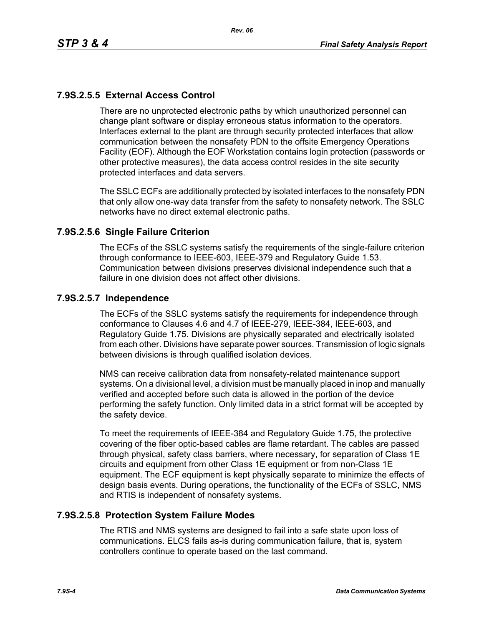# **7.9S.2.5.5 External Access Control**

There are no unprotected electronic paths by which unauthorized personnel can change plant software or display erroneous status information to the operators. Interfaces external to the plant are through security protected interfaces that allow communication between the nonsafety PDN to the offsite Emergency Operations Facility (EOF). Although the EOF Workstation contains login protection (passwords or other protective measures), the data access control resides in the site security protected interfaces and data servers.

The SSLC ECFs are additionally protected by isolated interfaces to the nonsafety PDN that only allow one-way data transfer from the safety to nonsafety network. The SSLC networks have no direct external electronic paths.

### **7.9S.2.5.6 Single Failure Criterion**

The ECFs of the SSLC systems satisfy the requirements of the single-failure criterion through conformance to IEEE-603, IEEE-379 and Regulatory Guide 1.53. Communication between divisions preserves divisional independence such that a failure in one division does not affect other divisions.

### **7.9S.2.5.7 Independence**

The ECFs of the SSLC systems satisfy the requirements for independence through conformance to Clauses 4.6 and 4.7 of IEEE-279, IEEE-384, IEEE-603, and Regulatory Guide 1.75. Divisions are physically separated and electrically isolated from each other. Divisions have separate power sources. Transmission of logic signals between divisions is through qualified isolation devices.

NMS can receive calibration data from nonsafety-related maintenance support systems. On a divisional level, a division must be manually placed in inop and manually verified and accepted before such data is allowed in the portion of the device performing the safety function. Only limited data in a strict format will be accepted by the safety device.

To meet the requirements of IEEE-384 and Regulatory Guide 1.75, the protective covering of the fiber optic-based cables are flame retardant. The cables are passed through physical, safety class barriers, where necessary, for separation of Class 1E circuits and equipment from other Class 1E equipment or from non-Class 1E equipment. The ECF equipment is kept physically separate to minimize the effects of design basis events. During operations, the functionality of the ECFs of SSLC, NMS and RTIS is independent of nonsafety systems.

### **7.9S.2.5.8 Protection System Failure Modes**

The RTIS and NMS systems are designed to fail into a safe state upon loss of communications. ELCS fails as-is during communication failure, that is, system controllers continue to operate based on the last command.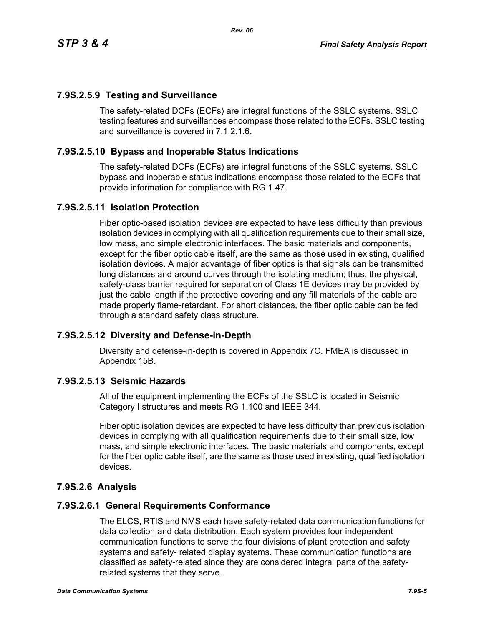### **7.9S.2.5.9 Testing and Surveillance**

The safety-related DCFs (ECFs) are integral functions of the SSLC systems. SSLC testing features and surveillances encompass those related to the ECFs. SSLC testing and surveillance is covered in 7.1.2.1.6.

### **7.9S.2.5.10 Bypass and Inoperable Status Indications**

The safety-related DCFs (ECFs) are integral functions of the SSLC systems. SSLC bypass and inoperable status indications encompass those related to the ECFs that provide information for compliance with RG 1.47.

### **7.9S.2.5.11 Isolation Protection**

Fiber optic-based isolation devices are expected to have less difficulty than previous isolation devices in complying with all qualification requirements due to their small size, low mass, and simple electronic interfaces. The basic materials and components, except for the fiber optic cable itself, are the same as those used in existing, qualified isolation devices. A major advantage of fiber optics is that signals can be transmitted long distances and around curves through the isolating medium; thus, the physical, safety-class barrier required for separation of Class 1E devices may be provided by just the cable length if the protective covering and any fill materials of the cable are made properly flame-retardant. For short distances, the fiber optic cable can be fed through a standard safety class structure.

#### **7.9S.2.5.12 Diversity and Defense-in-Depth**

Diversity and defense-in-depth is covered in Appendix 7C. FMEA is discussed in Appendix 15B.

#### **7.9S.2.5.13 Seismic Hazards**

All of the equipment implementing the ECFs of the SSLC is located in Seismic Category I structures and meets RG 1.100 and IEEE 344.

Fiber optic isolation devices are expected to have less difficulty than previous isolation devices in complying with all qualification requirements due to their small size, low mass, and simple electronic interfaces. The basic materials and components, except for the fiber optic cable itself, are the same as those used in existing, qualified isolation devices.

### **7.9S.2.6 Analysis**

#### **7.9S.2.6.1 General Requirements Conformance**

The ELCS, RTIS and NMS each have safety-related data communication functions for data collection and data distribution. Each system provides four independent communication functions to serve the four divisions of plant protection and safety systems and safety- related display systems. These communication functions are classified as safety-related since they are considered integral parts of the safetyrelated systems that they serve.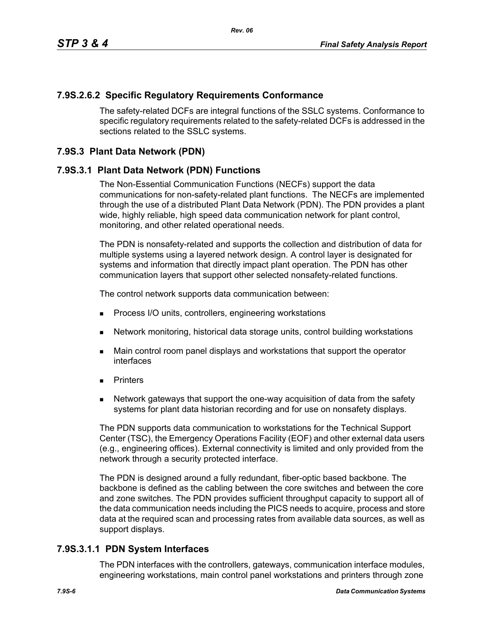# **7.9S.2.6.2 Specific Regulatory Requirements Conformance**

The safety-related DCFs are integral functions of the SSLC systems. Conformance to specific regulatory requirements related to the safety-related DCFs is addressed in the sections related to the SSLC systems.

### **7.9S.3 Plant Data Network (PDN)**

### **7.9S.3.1 Plant Data Network (PDN) Functions**

The Non-Essential Communication Functions (NECFs) support the data communications for non-safety-related plant functions. The NECFs are implemented through the use of a distributed Plant Data Network (PDN). The PDN provides a plant wide, highly reliable, high speed data communication network for plant control, monitoring, and other related operational needs.

The PDN is nonsafety-related and supports the collection and distribution of data for multiple systems using a layered network design. A control layer is designated for systems and information that directly impact plant operation. The PDN has other communication layers that support other selected nonsafety-related functions.

The control network supports data communication between:

- **Process I/O units, controllers, engineering workstations**
- Network monitoring, historical data storage units, control building workstations
- **Main control room panel displays and workstations that support the operator** interfaces
- **Printers**
- Network gateways that support the one-way acquisition of data from the safety systems for plant data historian recording and for use on nonsafety displays.

The PDN supports data communication to workstations for the Technical Support Center (TSC), the Emergency Operations Facility (EOF) and other external data users (e.g., engineering offices). External connectivity is limited and only provided from the network through a security protected interface.

The PDN is designed around a fully redundant, fiber-optic based backbone. The backbone is defined as the cabling between the core switches and between the core and zone switches. The PDN provides sufficient throughput capacity to support all of the data communication needs including the PICS needs to acquire, process and store data at the required scan and processing rates from available data sources, as well as support displays.

### **7.9S.3.1.1 PDN System Interfaces**

The PDN interfaces with the controllers, gateways, communication interface modules, engineering workstations, main control panel workstations and printers through zone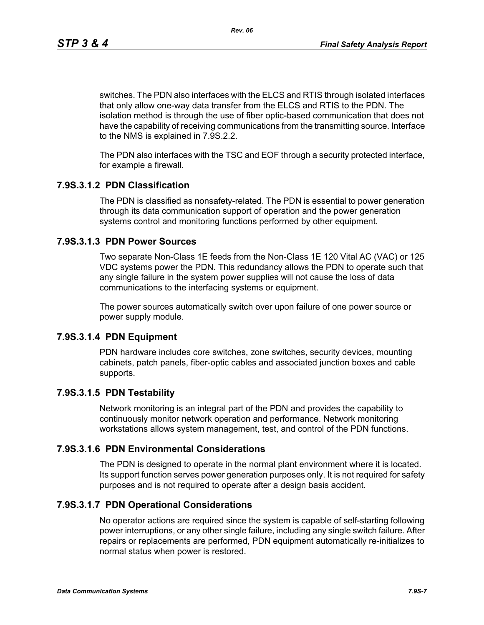*Rev. 06*

switches. The PDN also interfaces with the ELCS and RTIS through isolated interfaces that only allow one-way data transfer from the ELCS and RTIS to the PDN. The isolation method is through the use of fiber optic-based communication that does not have the capability of receiving communications from the transmitting source. Interface to the NMS is explained in 7.9S.2.2.

The PDN also interfaces with the TSC and EOF through a security protected interface, for example a firewall.

# **7.9S.3.1.2 PDN Classification**

The PDN is classified as nonsafety-related. The PDN is essential to power generation through its data communication support of operation and the power generation systems control and monitoring functions performed by other equipment.

# **7.9S.3.1.3 PDN Power Sources**

Two separate Non-Class 1E feeds from the Non-Class 1E 120 Vital AC (VAC) or 125 VDC systems power the PDN. This redundancy allows the PDN to operate such that any single failure in the system power supplies will not cause the loss of data communications to the interfacing systems or equipment.

The power sources automatically switch over upon failure of one power source or power supply module.

### **7.9S.3.1.4 PDN Equipment**

PDN hardware includes core switches, zone switches, security devices, mounting cabinets, patch panels, fiber-optic cables and associated junction boxes and cable supports.

# **7.9S.3.1.5 PDN Testability**

Network monitoring is an integral part of the PDN and provides the capability to continuously monitor network operation and performance. Network monitoring workstations allows system management, test, and control of the PDN functions.

### **7.9S.3.1.6 PDN Environmental Considerations**

The PDN is designed to operate in the normal plant environment where it is located. Its support function serves power generation purposes only. It is not required for safety purposes and is not required to operate after a design basis accident.

# **7.9S.3.1.7 PDN Operational Considerations**

No operator actions are required since the system is capable of self-starting following power interruptions, or any other single failure, including any single switch failure. After repairs or replacements are performed, PDN equipment automatically re-initializes to normal status when power is restored.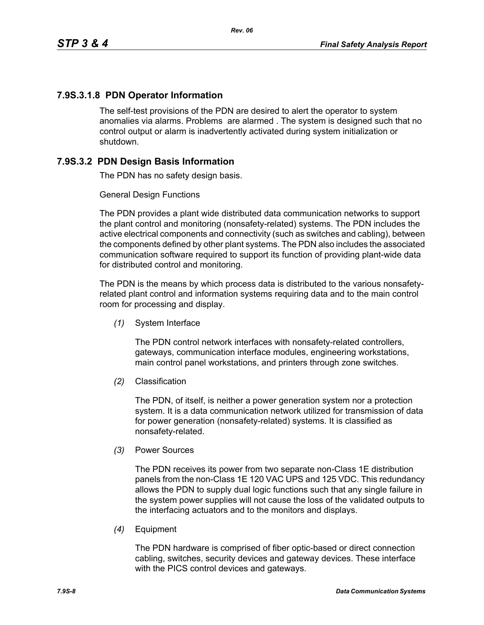# **7.9S.3.1.8 PDN Operator Information**

The self-test provisions of the PDN are desired to alert the operator to system anomalies via alarms. Problems are alarmed . The system is designed such that no control output or alarm is inadvertently activated during system initialization or shutdown.

# **7.9S.3.2 PDN Design Basis Information**

The PDN has no safety design basis.

### General Design Functions

The PDN provides a plant wide distributed data communication networks to support the plant control and monitoring (nonsafety-related) systems. The PDN includes the active electrical components and connectivity (such as switches and cabling), between the components defined by other plant systems. The PDN also includes the associated communication software required to support its function of providing plant-wide data for distributed control and monitoring.

The PDN is the means by which process data is distributed to the various nonsafetyrelated plant control and information systems requiring data and to the main control room for processing and display.

*(1)* System Interface

The PDN control network interfaces with nonsafety-related controllers, gateways, communication interface modules, engineering workstations, main control panel workstations, and printers through zone switches.

*(2)* Classification

The PDN, of itself, is neither a power generation system nor a protection system. It is a data communication network utilized for transmission of data for power generation (nonsafety-related) systems. It is classified as nonsafety-related.

*(3)* Power Sources

The PDN receives its power from two separate non-Class 1E distribution panels from the non-Class 1E 120 VAC UPS and 125 VDC. This redundancy allows the PDN to supply dual logic functions such that any single failure in the system power supplies will not cause the loss of the validated outputs to the interfacing actuators and to the monitors and displays.

*(4)* Equipment

The PDN hardware is comprised of fiber optic-based or direct connection cabling, switches, security devices and gateway devices. These interface with the PICS control devices and gateways.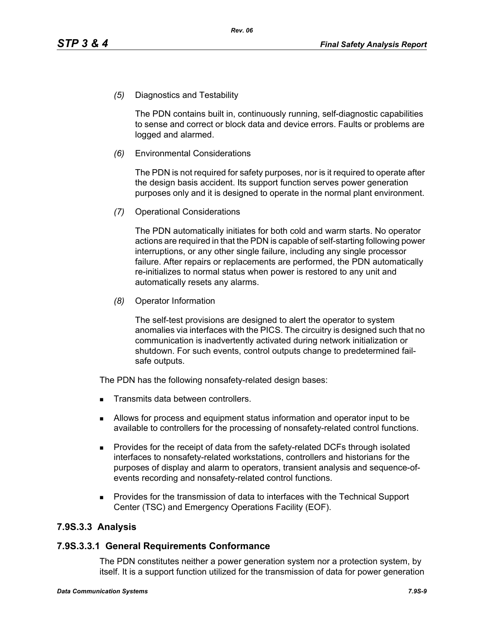*(5)* Diagnostics and Testability

The PDN contains built in, continuously running, self-diagnostic capabilities to sense and correct or block data and device errors. Faults or problems are logged and alarmed.

*(6)* Environmental Considerations

The PDN is not required for safety purposes, nor is it required to operate after the design basis accident. Its support function serves power generation purposes only and it is designed to operate in the normal plant environment.

*(7)* Operational Considerations

The PDN automatically initiates for both cold and warm starts. No operator actions are required in that the PDN is capable of self-starting following power interruptions, or any other single failure, including any single processor failure. After repairs or replacements are performed, the PDN automatically re-initializes to normal status when power is restored to any unit and automatically resets any alarms.

*(8)* Operator Information

The self-test provisions are designed to alert the operator to system anomalies via interfaces with the PICS. The circuitry is designed such that no communication is inadvertently activated during network initialization or shutdown. For such events, control outputs change to predetermined failsafe outputs.

The PDN has the following nonsafety-related design bases:

- Transmits data between controllers.
- Allows for process and equipment status information and operator input to be available to controllers for the processing of nonsafety-related control functions.
- **Provides for the receipt of data from the safety-related DCFs through isolated** interfaces to nonsafety-related workstations, controllers and historians for the purposes of display and alarm to operators, transient analysis and sequence-ofevents recording and nonsafety-related control functions.
- Provides for the transmission of data to interfaces with the Technical Support Center (TSC) and Emergency Operations Facility (EOF).

# **7.9S.3.3 Analysis**

### **7.9S.3.3.1 General Requirements Conformance**

The PDN constitutes neither a power generation system nor a protection system, by itself. It is a support function utilized for the transmission of data for power generation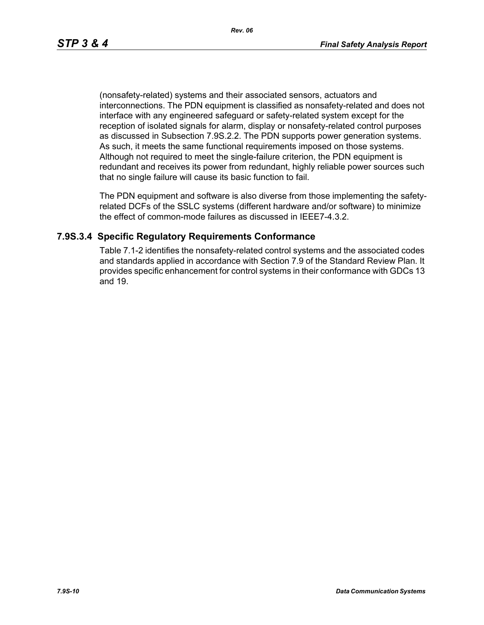(nonsafety-related) systems and their associated sensors, actuators and interconnections. The PDN equipment is classified as nonsafety-related and does not interface with any engineered safeguard or safety-related system except for the reception of isolated signals for alarm, display or nonsafety-related control purposes as discussed in Subsection 7.9S.2.2. The PDN supports power generation systems. As such, it meets the same functional requirements imposed on those systems. Although not required to meet the single-failure criterion, the PDN equipment is redundant and receives its power from redundant, highly reliable power sources such that no single failure will cause its basic function to fail.

The PDN equipment and software is also diverse from those implementing the safetyrelated DCFs of the SSLC systems (different hardware and/or software) to minimize the effect of common-mode failures as discussed in IEEE7-4.3.2.

### **7.9S.3.4 Specific Regulatory Requirements Conformance**

Table 7.1-2 identifies the nonsafety-related control systems and the associated codes and standards applied in accordance with Section 7.9 of the Standard Review Plan. It provides specific enhancement for control systems in their conformance with GDCs 13 and 19.